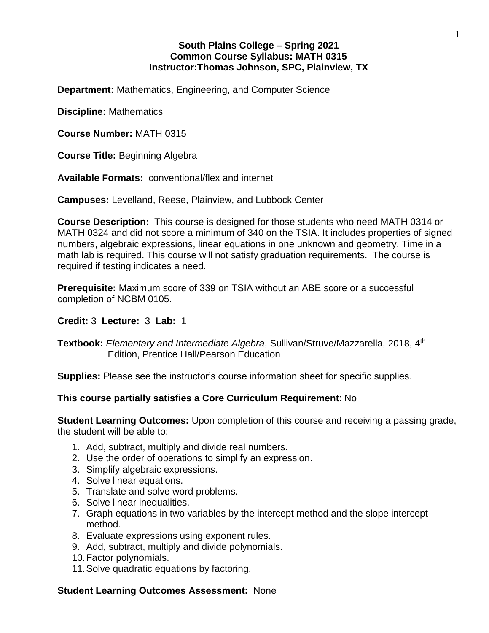# **South Plains College – Spring 2021 Common Course Syllabus: MATH 0315 Instructor:Thomas Johnson, SPC, Plainview, TX**

**Department:** Mathematics, Engineering, and Computer Science

**Discipline:** Mathematics

**Course Number:** MATH 0315

**Course Title:** Beginning Algebra

**Available Formats:** conventional/flex and internet

**Campuses:** Levelland, Reese, Plainview, and Lubbock Center

**Course Description:** This course is designed for those students who need MATH 0314 or MATH 0324 and did not score a minimum of 340 on the TSIA. It includes properties of signed numbers, algebraic expressions, linear equations in one unknown and geometry. Time in a math lab is required. This course will not satisfy graduation requirements. The course is required if testing indicates a need.

**Prerequisite:** Maximum score of 339 on TSIA without an ABE score or a successful completion of NCBM 0105.

## **Credit:** 3 **Lecture:** 3 **Lab:** 1

**Textbook:** *Elementary and Intermediate Algebra*, Sullivan/Struve/Mazzarella, 2018, 4 th Edition, Prentice Hall/Pearson Education

**Supplies:** Please see the instructor's course information sheet for specific supplies.

## **This course partially satisfies a Core Curriculum Requirement**: No

**Student Learning Outcomes:** Upon completion of this course and receiving a passing grade, the student will be able to:

- 1. Add, subtract, multiply and divide real numbers.
- 2. Use the order of operations to simplify an expression.
- 3. Simplify algebraic expressions.
- 4. Solve linear equations.
- 5. Translate and solve word problems.
- 6. Solve linear inequalities.
- 7. Graph equations in two variables by the intercept method and the slope intercept method.
- 8. Evaluate expressions using exponent rules.
- 9. Add, subtract, multiply and divide polynomials.
- 10.Factor polynomials.
- 11.Solve quadratic equations by factoring.

#### **Student Learning Outcomes Assessment:** None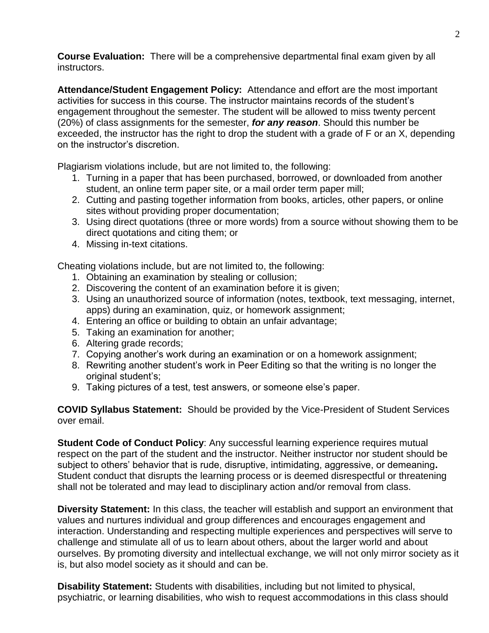**Course Evaluation:** There will be a comprehensive departmental final exam given by all instructors.

**Attendance/Student Engagement Policy:** Attendance and effort are the most important activities for success in this course. The instructor maintains records of the student's engagement throughout the semester. The student will be allowed to miss twenty percent (20%) of class assignments for the semester, *for any reason*. Should this number be exceeded, the instructor has the right to drop the student with a grade of F or an X, depending on the instructor's discretion.

Plagiarism violations include, but are not limited to, the following:

- 1. Turning in a paper that has been purchased, borrowed, or downloaded from another student, an online term paper site, or a mail order term paper mill;
- 2. Cutting and pasting together information from books, articles, other papers, or online sites without providing proper documentation;
- 3. Using direct quotations (three or more words) from a source without showing them to be direct quotations and citing them; or
- 4. Missing in-text citations.

Cheating violations include, but are not limited to, the following:

- 1. Obtaining an examination by stealing or collusion;
- 2. Discovering the content of an examination before it is given;
- 3. Using an unauthorized source of information (notes, textbook, text messaging, internet, apps) during an examination, quiz, or homework assignment;
- 4. Entering an office or building to obtain an unfair advantage;
- 5. Taking an examination for another;
- 6. Altering grade records;
- 7. Copying another's work during an examination or on a homework assignment;
- 8. Rewriting another student's work in Peer Editing so that the writing is no longer the original student's;
- 9. Taking pictures of a test, test answers, or someone else's paper.

**COVID Syllabus Statement:** Should be provided by the Vice-President of Student Services over email.

**Student Code of Conduct Policy:** Any successful learning experience requires mutual respect on the part of the student and the instructor. Neither instructor nor student should be subject to others' behavior that is rude, disruptive, intimidating, aggressive, or demeaning**.**  Student conduct that disrupts the learning process or is deemed disrespectful or threatening shall not be tolerated and may lead to disciplinary action and/or removal from class.

**Diversity Statement:** In this class, the teacher will establish and support an environment that values and nurtures individual and group differences and encourages engagement and interaction. Understanding and respecting multiple experiences and perspectives will serve to challenge and stimulate all of us to learn about others, about the larger world and about ourselves. By promoting diversity and intellectual exchange, we will not only mirror society as it is, but also model society as it should and can be.

**Disability Statement:** Students with disabilities, including but not limited to physical, psychiatric, or learning disabilities, who wish to request accommodations in this class should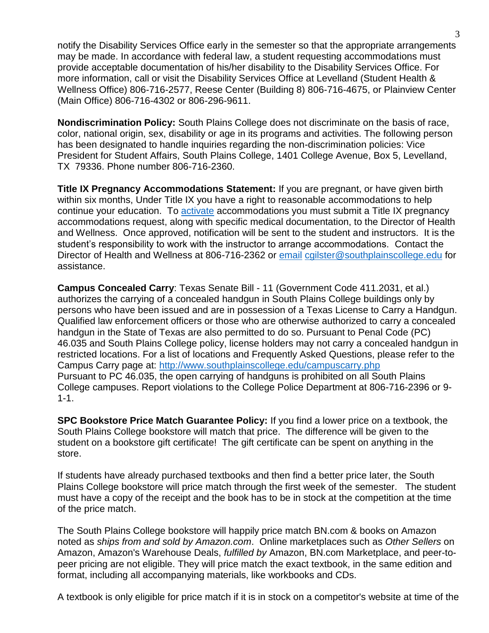notify the Disability Services Office early in the semester so that the appropriate arrangements may be made. In accordance with federal law, a student requesting accommodations must provide acceptable documentation of his/her disability to the Disability Services Office. For more information, call or visit the Disability Services Office at Levelland (Student Health & Wellness Office) 806-716-2577, Reese Center (Building 8) 806-716-4675, or Plainview Center (Main Office) 806-716-4302 or 806-296-9611.

**Nondiscrimination Policy:** South Plains College does not discriminate on the basis of race, color, national origin, sex, disability or age in its programs and activities. The following person has been designated to handle inquiries regarding the non-discrimination policies: Vice President for Student Affairs, South Plains College, 1401 College Avenue, Box 5, Levelland, TX 79336. Phone number 806-716-2360.

**Title IX Pregnancy Accommodations Statement:** If you are pregnant, or have given birth within six months, Under Title IX you have a right to reasonable accommodations to help continue your education. To [activate](http://www.southplainscollege.edu/employees/manualshandbooks/facultyhandbook/sec4.php) accommodations you must submit a Title IX pregnancy accommodations request, along with specific medical documentation, to the Director of Health and Wellness. Once approved, notification will be sent to the student and instructors. It is the student's responsibility to work with the instructor to arrange accommodations. Contact the Director of Health and Wellness at 806-716-2362 or [email](http://www.southplainscollege.edu/employees/manualshandbooks/facultyhandbook/sec4.php) [cgilster@southplainscollege.edu](mailto:cgilster@southplainscollege.edu) for assistance.

**Campus Concealed Carry**: Texas Senate Bill - 11 (Government Code 411.2031, et al.) authorizes the carrying of a concealed handgun in South Plains College buildings only by persons who have been issued and are in possession of a Texas License to Carry a Handgun. Qualified law enforcement officers or those who are otherwise authorized to carry a concealed handgun in the State of Texas are also permitted to do so. Pursuant to Penal Code (PC) 46.035 and South Plains College policy, license holders may not carry a concealed handgun in restricted locations. For a list of locations and Frequently Asked Questions, please refer to the Campus Carry page at: <http://www.southplainscollege.edu/campuscarry.php> Pursuant to PC 46.035, the open carrying of handguns is prohibited on all South Plains College campuses. Report violations to the College Police Department at 806-716-2396 or 9- 1-1.

**SPC Bookstore Price Match Guarantee Policy:** If you find a lower price on a textbook, the South Plains College bookstore will match that price. The difference will be given to the student on a bookstore gift certificate! The gift certificate can be spent on anything in the store.

If students have already purchased textbooks and then find a better price later, the South Plains College bookstore will price match through the first week of the semester. The student must have a copy of the receipt and the book has to be in stock at the competition at the time of the price match.

The South Plains College bookstore will happily price match BN.com & books on Amazon noted as *ships from and sold by Amazon.com*. Online marketplaces such as *Other Sellers* on Amazon, Amazon's Warehouse Deals, *fulfilled by* Amazon, BN.com Marketplace, and peer-topeer pricing are not eligible. They will price match the exact textbook, in the same edition and format, including all accompanying materials, like workbooks and CDs.

A textbook is only eligible for price match if it is in stock on a competitor's website at time of the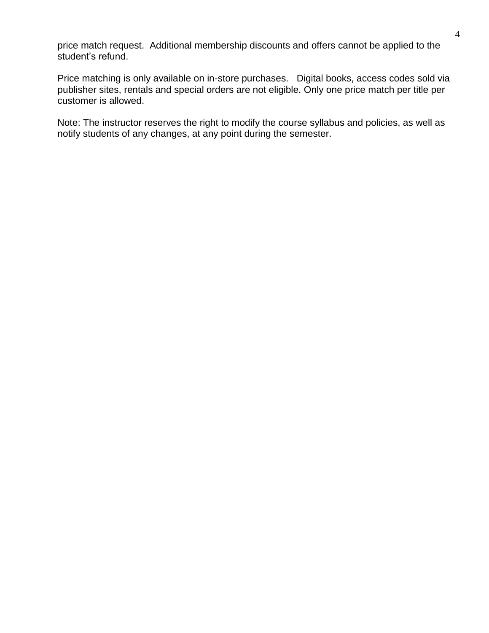price match request. Additional membership discounts and offers cannot be applied to the student's refund.

Price matching is only available on in-store purchases. Digital books, access codes sold via publisher sites, rentals and special orders are not eligible. Only one price match per title per customer is allowed.

Note: The instructor reserves the right to modify the course syllabus and policies, as well as notify students of any changes, at any point during the semester.